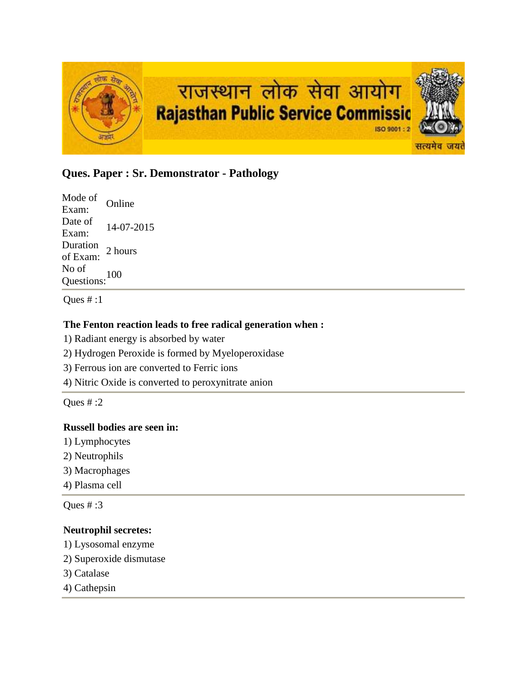

# **Ques. Paper : Sr. Demonstrator - Pathology**

Mode of Exam: Online Date of  $\frac{\text{Date of}}{\text{Exam:}}$  14-07-2015 Duration<br>of Exam: 2 hours No of Questions:<sup>100</sup>

Ques # :1

## **The Fenton reaction leads to free radical generation when :**

1) Radiant energy is absorbed by water

- 2) Hydrogen Peroxide is formed by Myeloperoxidase
- 3) Ferrous ion are converted to Ferric ions

4) Nitric Oxide is converted to peroxynitrate anion

Ques  $\#$  :2

## **Russell bodies are seen in:**

- 1) Lymphocytes
- 2) Neutrophils
- 3) Macrophages
- 4) Plasma cell

Ques # :3

### **Neutrophil secretes:**

- 1) Lysosomal enzyme
- 2) Superoxide dismutase
- 3) Catalase
- 4) Cathepsin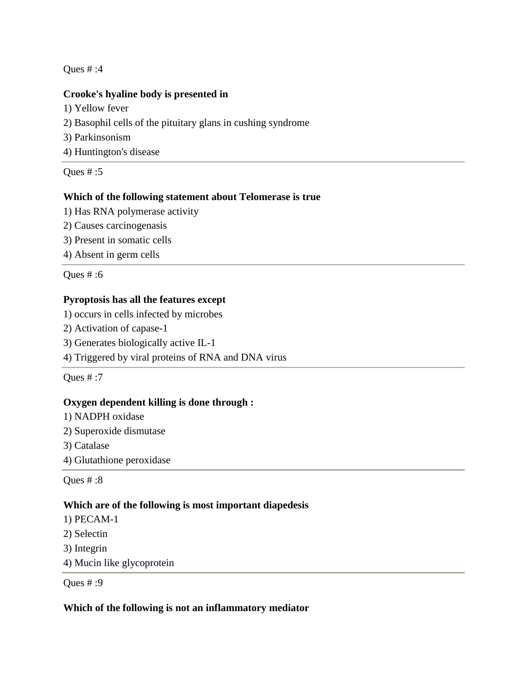### **Crooke's hyaline body is presented in**

- 1) Yellow fever
- 2) Basophil cells of the pituitary glans in cushing syndrome
- 3) Parkinsonism
- 4) Huntington's disease

Ques # :5

### **Which of the following statement about Telomerase is true**

- 1) Has RNA polymerase activity
- 2) Causes carcinogenasis
- 3) Present in somatic cells
- 4) Absent in germ cells

Ques # :6

## **Pyroptosis has all the features except**

- 1) occurs in cells infected by microbes
- 2) Activation of capase-1
- 3) Generates biologically active IL-1
- 4) Triggered by viral proteins of RNA and DNA virus

Ques # :7

### **Oxygen dependent killing is done through :**

- 1) NADPH oxidase
- 2) Superoxide dismutase
- 3) Catalase
- 4) Glutathione peroxidase

Ques # :8

### **Which are of the following is most important diapedesis**

- 1) PECAM-1
- 2) Selectin
- 3) Integrin
- 4) Mucin like glycoprotein

Ques # :9

### **Which of the following is not an inflammatory mediator**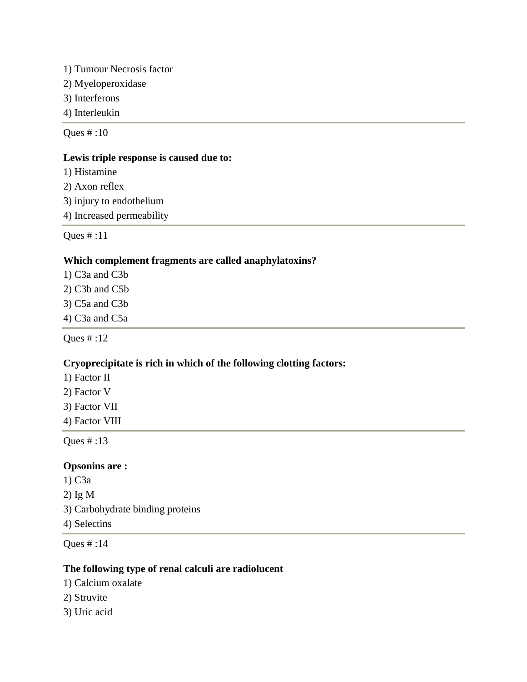- 1) Tumour Necrosis factor
- 2) Myeloperoxidase
- 3) Interferons
- 4) Interleukin

#### **Lewis triple response is caused due to:**

- 1) Histamine
- 2) Axon reflex
- 3) injury to endothelium
- 4) Increased permeability

Ques # :11

### **Which complement fragments are called anaphylatoxins?**

- 1) C3a and C3b
- 2) C3b and C5b
- 3) C5a and C3b
- 4) C3a and C5a

Ques # :12

## **Cryoprecipitate is rich in which of the following clotting factors:**

- 1) Factor II
- 2) Factor V
- 3) Factor VII
- 4) Factor VIII

Ques # :13

### **Opsonins are :**

1) C3a 2) Ig M 3) Carbohydrate binding proteins 4) Selectins

### Ques # :14

## **The following type of renal calculi are radiolucent**

- 1) Calcium oxalate
- 2) Struvite
- 3) Uric acid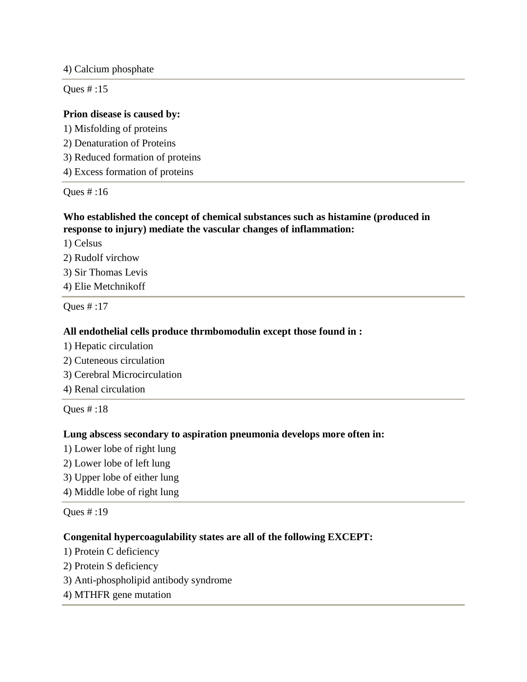4) Calcium phosphate

Ques # :15

### **Prion disease is caused by:**

- 1) Misfolding of proteins
- 2) Denaturation of Proteins
- 3) Reduced formation of proteins
- 4) Excess formation of proteins

Ques # :16

## **Who established the concept of chemical substances such as histamine (produced in response to injury) mediate the vascular changes of inflammation:**

1) Celsus

- 2) Rudolf virchow
- 3) Sir Thomas Levis
- 4) Elie Metchnikoff

Ques # :17

### **All endothelial cells produce thrmbomodulin except those found in :**

- 1) Hepatic circulation
- 2) Cuteneous circulation
- 3) Cerebral Microcirculation
- 4) Renal circulation

Ques # :18

### **Lung abscess secondary to aspiration pneumonia develops more often in:**

- 1) Lower lobe of right lung
- 2) Lower lobe of left lung
- 3) Upper lobe of either lung
- 4) Middle lobe of right lung

Ques # :19

## **Congenital hypercoagulability states are all of the following EXCEPT:**

- 1) Protein C deficiency
- 2) Protein S deficiency
- 3) Anti-phospholipid antibody syndrome
- 4) MTHFR gene mutation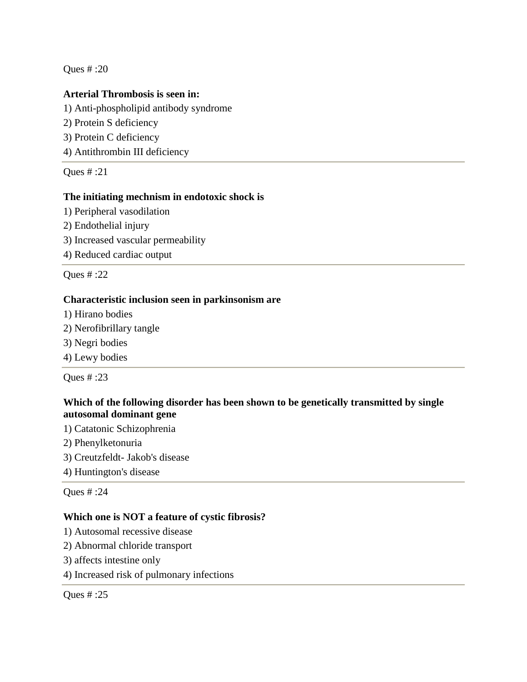### **Arterial Thrombosis is seen in:**

1) Anti-phospholipid antibody syndrome 2) Protein S deficiency 3) Protein C deficiency

4) Antithrombin III deficiency

Ques # :21

### **The initiating mechnism in endotoxic shock is**

- 1) Peripheral vasodilation
- 2) Endothelial injury
- 3) Increased vascular permeability
- 4) Reduced cardiac output

Ques # :22

### **Characteristic inclusion seen in parkinsonism are**

- 1) Hirano bodies
- 2) Nerofibrillary tangle
- 3) Negri bodies
- 4) Lewy bodies

Ques # :23

## **Which of the following disorder has been shown to be genetically transmitted by single autosomal dominant gene**

- 1) Catatonic Schizophrenia
- 2) Phenylketonuria
- 3) Creutzfeldt- Jakob's disease
- 4) Huntington's disease

Ques # :24

### **Which one is NOT a feature of cystic fibrosis?**

- 1) Autosomal recessive disease
- 2) Abnormal chloride transport
- 3) affects intestine only
- 4) Increased risk of pulmonary infections

Ques # :25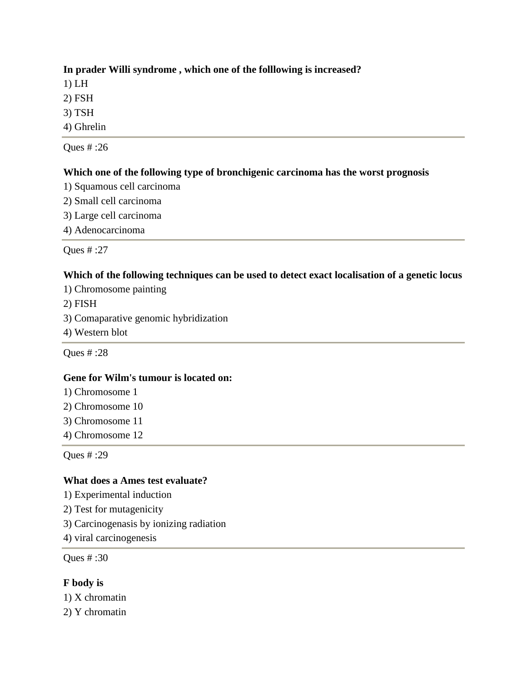## **In prader Willi syndrome , which one of the folllowing is increased?**

1) LH

2) FSH

- 3) TSH
- 4) Ghrelin

Ques # :26

## **Which one of the following type of bronchigenic carcinoma has the worst prognosis**

- 1) Squamous cell carcinoma
- 2) Small cell carcinoma
- 3) Large cell carcinoma
- 4) Adenocarcinoma

Ques # :27

## **Which of the following techniques can be used to detect exact localisation of a genetic locus**

- 1) Chromosome painting
- 2) FISH
- 3) Comaparative genomic hybridization
- 4) Western blot

Ques # :28

## **Gene for Wilm's tumour is located on:**

- 1) Chromosome 1
- 2) Chromosome 10
- 3) Chromosome 11
- 4) Chromosome 12

Ques # :29

## **What does a Ames test evaluate?**

- 1) Experimental induction
- 2) Test for mutagenicity
- 3) Carcinogenasis by ionizing radiation
- 4) viral carcinogenesis

Ques # :30

## **F body is**

1) X chromatin

2) Y chromatin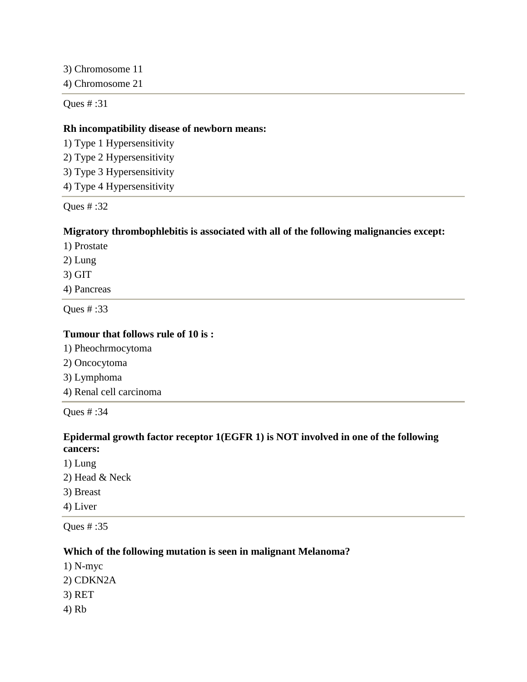3) Chromosome 11

4) Chromosome 21

Ques # :31

### **Rh incompatibility disease of newborn means:**

1) Type 1 Hypersensitivity

2) Type 2 Hypersensitivity

3) Type 3 Hypersensitivity

4) Type 4 Hypersensitivity

Ques # :32

### **Migratory thrombophlebitis is associated with all of the following malignancies except:**

1) Prostate

2) Lung

3) GIT

4) Pancreas

Ques # :33

### **Tumour that follows rule of 10 is :**

- 1) Pheochrmocytoma
- 2) Oncocytoma
- 3) Lymphoma
- 4) Renal cell carcinoma

Ques # :34

### **Epidermal growth factor receptor 1(EGFR 1) is NOT involved in one of the following cancers:**

1) Lung 2) Head & Neck 3) Breast 4) Liver

Ques # :35

### **Which of the following mutation is seen in malignant Melanoma?**

- 1) N-myc
- 2) CDKN2A
- 3) RET
- 4) Rb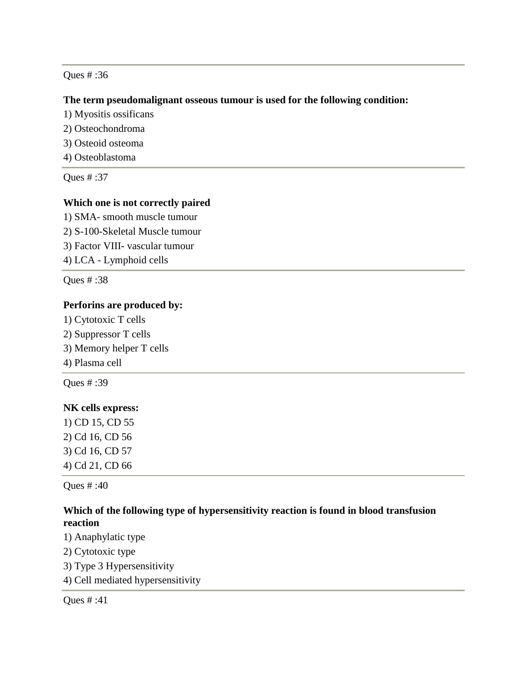#### **The term pseudomalignant osseous tumour is used for the following condition:**

- 1) Myositis ossificans
- 2) Osteochondroma
- 3) Osteoid osteoma
- 4) Osteoblastoma

Ques # :37

#### **Which one is not correctly paired**

1) SMA- smooth muscle tumour 2) S-100-Skeletal Muscle tumour 3) Factor VIII- vascular tumour 4) LCA - Lymphoid cells

Ques # :38

### **Perforins are produced by:**

1) Cytotoxic T cells 2) Suppressor T cells 3) Memory helper T cells 4) Plasma cell Ques # :39

## **NK cells express:**

1) CD 15, CD 55 2) Cd 16, CD 56 3) Cd 16, CD 57 4) Cd 21, CD 66

Ques # :40

## **Which of the following type of hypersensitivity reaction is found in blood transfusion reaction**

- 1) Anaphylatic type
- 2) Cytotoxic type
- 3) Type 3 Hypersensitivity
- 4) Cell mediated hypersensitivity

Ques # :41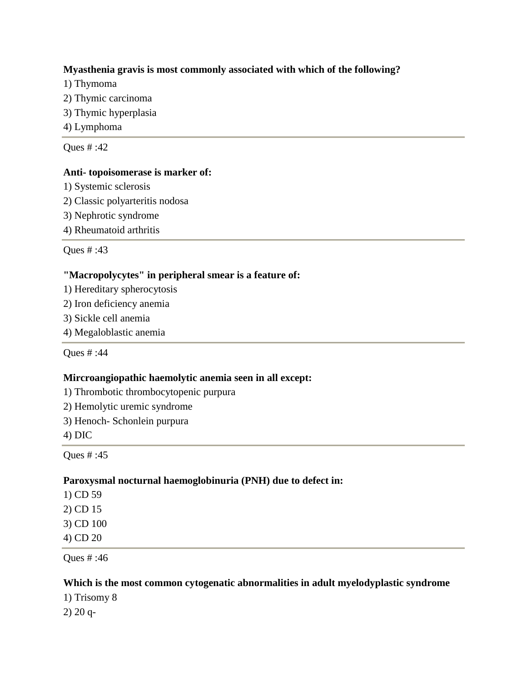### **Myasthenia gravis is most commonly associated with which of the following?**

- 1) Thymoma
- 2) Thymic carcinoma
- 3) Thymic hyperplasia
- 4) Lymphoma

Ques # :42

#### **Anti- topoisomerase is marker of:**

- 1) Systemic sclerosis
- 2) Classic polyarteritis nodosa
- 3) Nephrotic syndrome
- 4) Rheumatoid arthritis

Ques # :43

### **"Macropolycytes" in peripheral smear is a feature of:**

- 1) Hereditary spherocytosis
- 2) Iron deficiency anemia
- 3) Sickle cell anemia
- 4) Megaloblastic anemia

Ques # :44

### **Mircroangiopathic haemolytic anemia seen in all except:**

- 1) Thrombotic thrombocytopenic purpura
- 2) Hemolytic uremic syndrome
- 3) Henoch- Schonlein purpura
- 4) DIC

Ques # :45

### **Paroxysmal nocturnal haemoglobinuria (PNH) due to defect in:**

- 1) CD 59
- 2) CD 15
- 3) CD 100
- 4) CD 20

Ques # :46

### **Which is the most common cytogenatic abnormalities in adult myelodyplastic syndrome**

- 1) Trisomy 8
- 2) 20 q-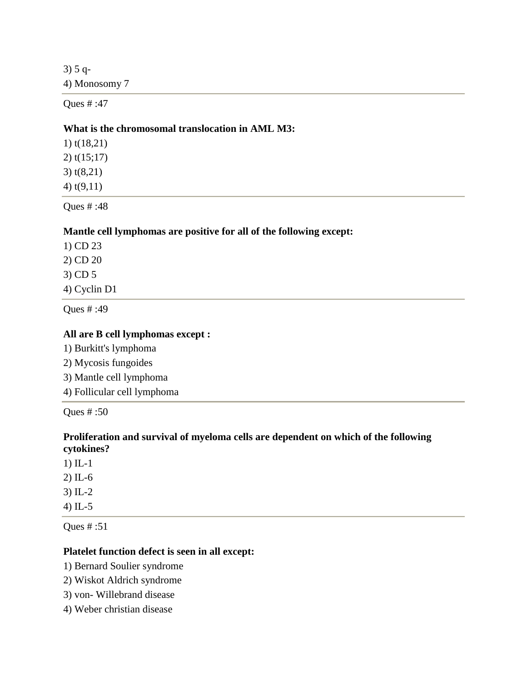3) 5 q-4) Monosomy 7

Ques # :47

#### **What is the chromosomal translocation in AML M3:**

1) t(18,21) 2) t(15;17) 3) t(8,21) 4) t(9,11)

Ques # :48

### **Mantle cell lymphomas are positive for all of the following except:**

1) CD 23 2) CD 20 3) CD 5

4) Cyclin D1

Ques # :49

### **All are B cell lymphomas except :**

- 1) Burkitt's lymphoma
- 2) Mycosis fungoides
- 3) Mantle cell lymphoma
- 4) Follicular cell lymphoma

Ques # :50

### **Proliferation and survival of myeloma cells are dependent on which of the following cytokines?**

- 1) IL-1
- 2) IL-6
- 3) IL-2
- 4) IL-5

Ques # :51

### **Platelet function defect is seen in all except:**

- 1) Bernard Soulier syndrome
- 2) Wiskot Aldrich syndrome
- 3) von- Willebrand disease
- 4) Weber christian disease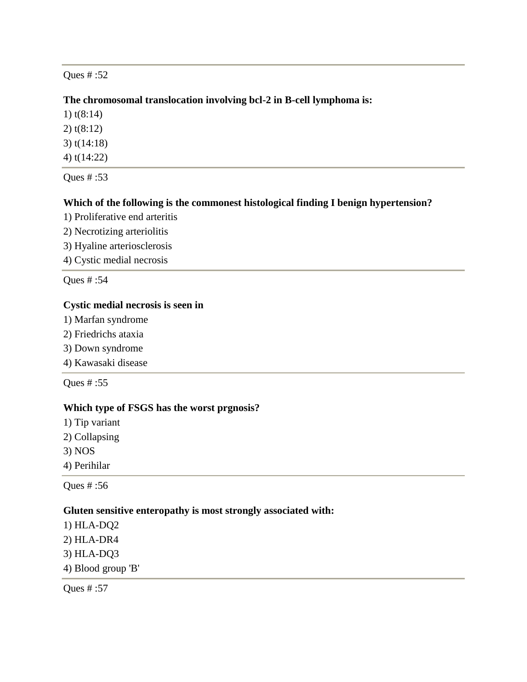### **The chromosomal translocation involving bcl-2 in B-cell lymphoma is:**

1) t(8:14)

2) t(8:12)

3) t(14:18)

4) t(14:22)

Ques # :53

### **Which of the following is the commonest histological finding I benign hypertension?**

- 1) Proliferative end arteritis
- 2) Necrotizing arteriolitis
- 3) Hyaline arteriosclerosis
- 4) Cystic medial necrosis

Ques # :54

### **Cystic medial necrosis is seen in**

- 1) Marfan syndrome
- 2) Friedrichs ataxia
- 3) Down syndrome
- 4) Kawasaki disease

Ques # :55

## **Which type of FSGS has the worst prgnosis?**

- 1) Tip variant
- 2) Collapsing
- 3) NOS
- 4) Perihilar

Ques # :56

### **Gluten sensitive enteropathy is most strongly associated with:**

1) HLA-DQ2 2) HLA-DR4 3) HLA-DQ3 4) Blood group 'B'

Ques # :57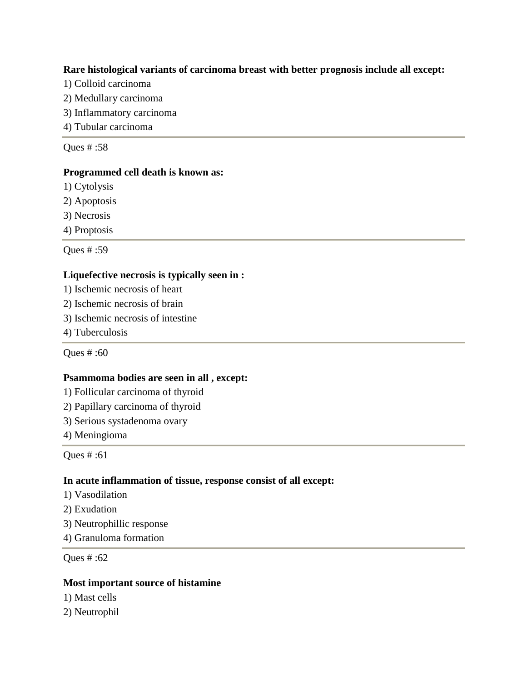### **Rare histological variants of carcinoma breast with better prognosis include all except:**

- 1) Colloid carcinoma
- 2) Medullary carcinoma
- 3) Inflammatory carcinoma
- 4) Tubular carcinoma

Ques # :58

### **Programmed cell death is known as:**

1) Cytolysis

- 2) Apoptosis
- 3) Necrosis
- 4) Proptosis

Ques # :59

## **Liquefective necrosis is typically seen in :**

- 1) Ischemic necrosis of heart
- 2) Ischemic necrosis of brain
- 3) Ischemic necrosis of intestine
- 4) Tuberculosis

Ques # :60

## **Psammoma bodies are seen in all , except:**

- 1) Follicular carcinoma of thyroid
- 2) Papillary carcinoma of thyroid
- 3) Serious systadenoma ovary
- 4) Meningioma

Ques # :61

## **In acute inflammation of tissue, response consist of all except:**

- 1) Vasodilation
- 2) Exudation
- 3) Neutrophillic response
- 4) Granuloma formation

Ques # :62

## **Most important source of histamine**

- 1) Mast cells
- 2) Neutrophil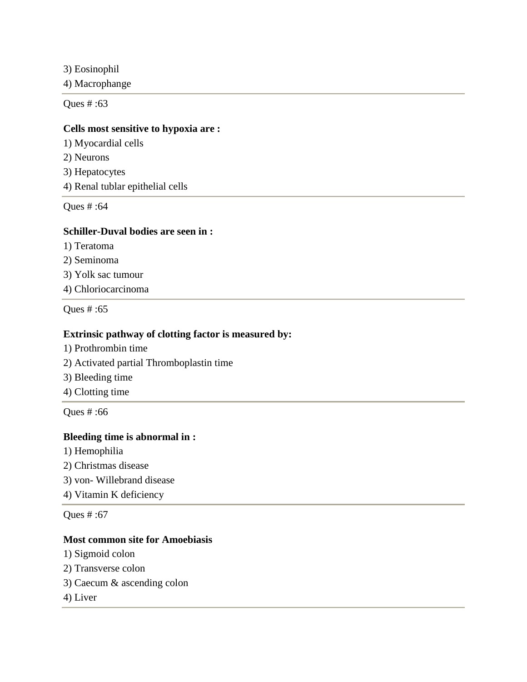3) Eosinophil

4) Macrophange

Ques # :63

### **Cells most sensitive to hypoxia are :**

1) Myocardial cells

2) Neurons

3) Hepatocytes

4) Renal tublar epithelial cells

Ques # :64

### **Schiller-Duval bodies are seen in :**

- 1) Teratoma
- 2) Seminoma

3) Yolk sac tumour

4) Chloriocarcinoma

Ques # :65

### **Extrinsic pathway of clotting factor is measured by:**

- 1) Prothrombin time
- 2) Activated partial Thromboplastin time
- 3) Bleeding time
- 4) Clotting time

Ques # :66

#### **Bleeding time is abnormal in :**

- 1) Hemophilia
- 2) Christmas disease

3) von- Willebrand disease

4) Vitamin K deficiency

Ques # :67

### **Most common site for Amoebiasis**

- 1) Sigmoid colon
- 2) Transverse colon
- 3) Caecum & ascending colon
- 4) Liver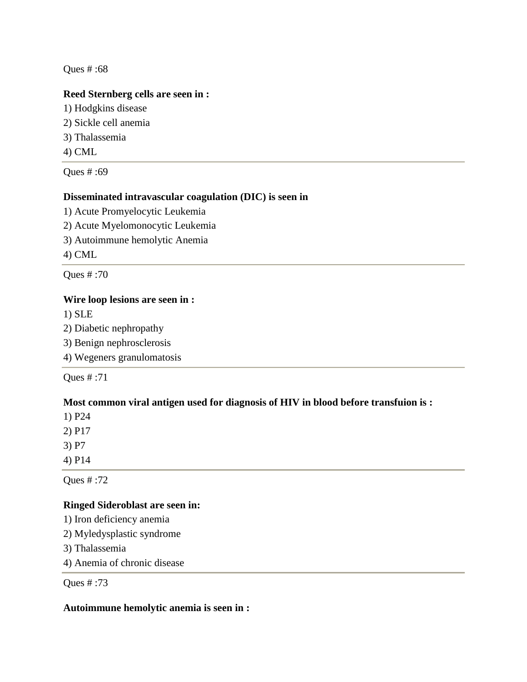### **Reed Sternberg cells are seen in :**

- 1) Hodgkins disease 2) Sickle cell anemia
- 3) Thalassemia
- 4) CML

Ques # :69

## **Disseminated intravascular coagulation (DIC) is seen in**

- 1) Acute Promyelocytic Leukemia
- 2) Acute Myelomonocytic Leukemia
- 3) Autoimmune hemolytic Anemia

4) CML

Ques # :70

## **Wire loop lesions are seen in :**

1) SLE

- 2) Diabetic nephropathy
- 3) Benign nephrosclerosis

4) Wegeners granulomatosis

Ques # :71

## **Most common viral antigen used for diagnosis of HIV in blood before transfuion is :**

1) P24

2) P17

3) P7

4) P14

Ques # :72

## **Ringed Sideroblast are seen in:**

1) Iron deficiency anemia

- 2) Myledysplastic syndrome
- 3) Thalassemia

4) Anemia of chronic disease

Ques # :73

## **Autoimmune hemolytic anemia is seen in :**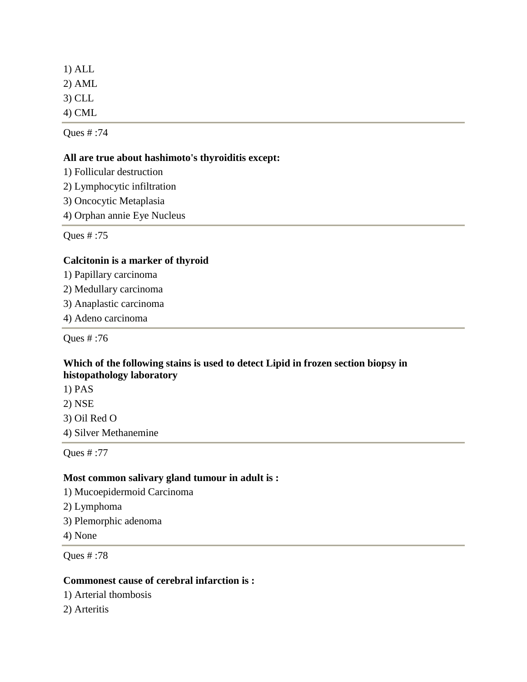1) ALL 2) AML 3) CLL 4) CML

Ques # :74

### **All are true about hashimoto's thyroiditis except:**

1) Follicular destruction

2) Lymphocytic infiltration

3) Oncocytic Metaplasia

4) Orphan annie Eye Nucleus

Ques # :75

## **Calcitonin is a marker of thyroid**

1) Papillary carcinoma

2) Medullary carcinoma

3) Anaplastic carcinoma

4) Adeno carcinoma

Ques # :76

### **Which of the following stains is used to detect Lipid in frozen section biopsy in histopathology laboratory**

1) PAS 2) NSE

3) Oil Red O

4) Silver Methanemine

Ques # :77

## **Most common salivary gland tumour in adult is :**

1) Mucoepidermoid Carcinoma

- 2) Lymphoma
- 3) Plemorphic adenoma
- 4) None

Ques # :78

## **Commonest cause of cerebral infarction is :**

1) Arterial thombosis

2) Arteritis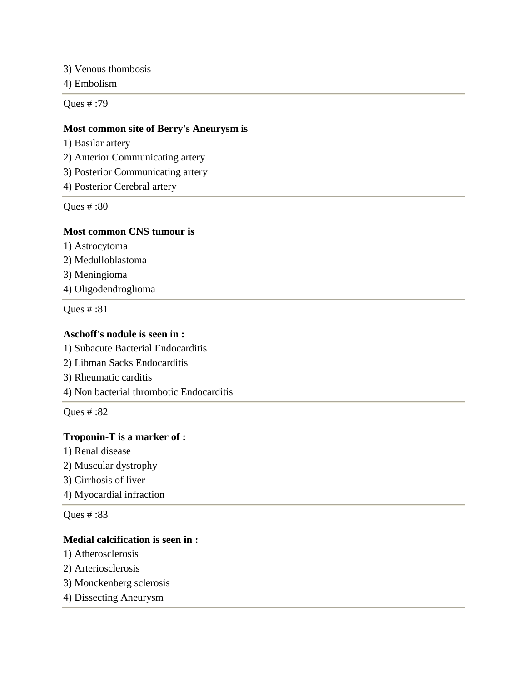3) Venous thombosis

4) Embolism

Ques # :79

#### **Most common site of Berry's Aneurysm is**

1) Basilar artery

2) Anterior Communicating artery

3) Posterior Communicating artery

4) Posterior Cerebral artery

Ques # :80

### **Most common CNS tumour is**

1) Astrocytoma

2) Medulloblastoma

3) Meningioma

4) Oligodendroglioma

Ques # :81

### **Aschoff's nodule is seen in :**

1) Subacute Bacterial Endocarditis

- 2) Libman Sacks Endocarditis
- 3) Rheumatic carditis
- 4) Non bacterial thrombotic Endocarditis

Ques # :82

### **Troponin-T is a marker of :**

- 1) Renal disease
- 2) Muscular dystrophy
- 3) Cirrhosis of liver
- 4) Myocardial infraction

Ques # :83

### **Medial calcification is seen in :**

- 1) Atherosclerosis
- 2) Arteriosclerosis
- 3) Monckenberg sclerosis
- 4) Dissecting Aneurysm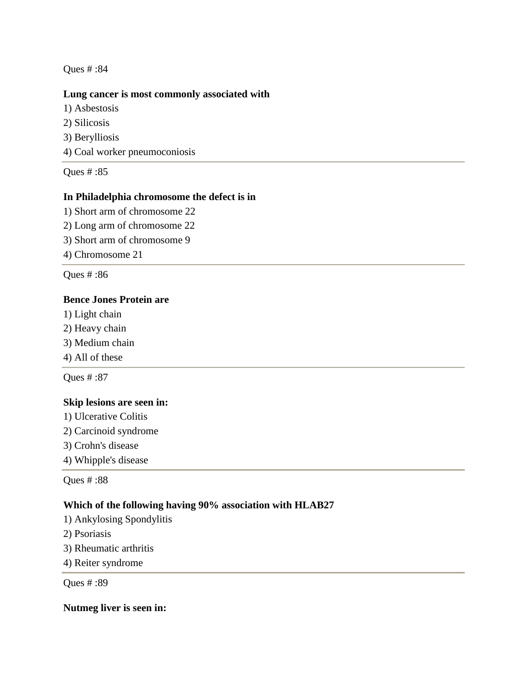### **Lung cancer is most commonly associated with**

- 1) Asbestosis 2) Silicosis
- 3) Berylliosis
- 4) Coal worker pneumoconiosis

Ques # :85

## **In Philadelphia chromosome the defect is in**

- 1) Short arm of chromosome 22
- 2) Long arm of chromosome 22
- 3) Short arm of chromosome 9
- 4) Chromosome 21

Ques # :86

### **Bence Jones Protein are**

- 1) Light chain
- 2) Heavy chain
- 3) Medium chain
- 4) All of these

Ques # :87

## **Skip lesions are seen in:**

- 1) Ulcerative Colitis
- 2) Carcinoid syndrome
- 3) Crohn's disease
- 4) Whipple's disease

Ques # :88

## **Which of the following having 90% association with HLAB27**

- 1) Ankylosing Spondylitis
- 2) Psoriasis
- 3) Rheumatic arthritis
- 4) Reiter syndrome

Ques # :89

### **Nutmeg liver is seen in:**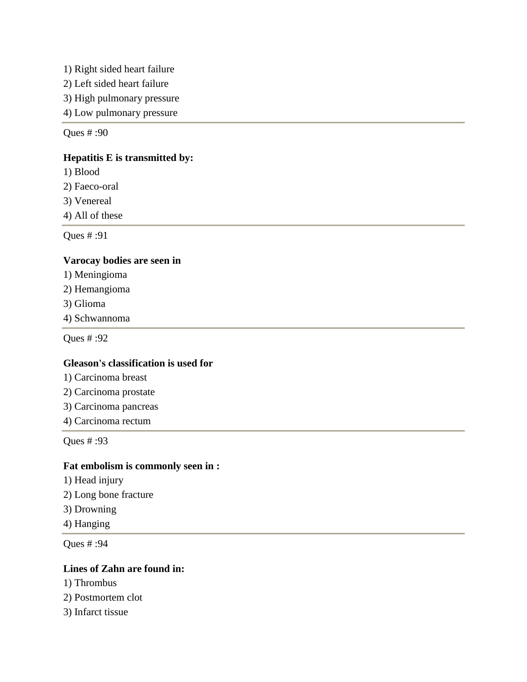- 1) Right sided heart failure
- 2) Left sided heart failure
- 3) High pulmonary pressure
- 4) Low pulmonary pressure

### **Hepatitis E is transmitted by:**

- 1) Blood
- 2) Faeco-oral
- 3) Venereal
- 4) All of these

Ques # :91

### **Varocay bodies are seen in**

- 1) Meningioma
- 2) Hemangioma
- 3) Glioma
- 4) Schwannoma

Ques # :92

#### **Gleason's classification is used for**

- 1) Carcinoma breast
- 2) Carcinoma prostate
- 3) Carcinoma pancreas
- 4) Carcinoma rectum

Ques # :93

## **Fat embolism is commonly seen in :**

- 1) Head injury
- 2) Long bone fracture
- 3) Drowning
- 4) Hanging

Ques # :94

## **Lines of Zahn are found in:**

- 1) Thrombus
- 2) Postmortem clot
- 3) Infarct tissue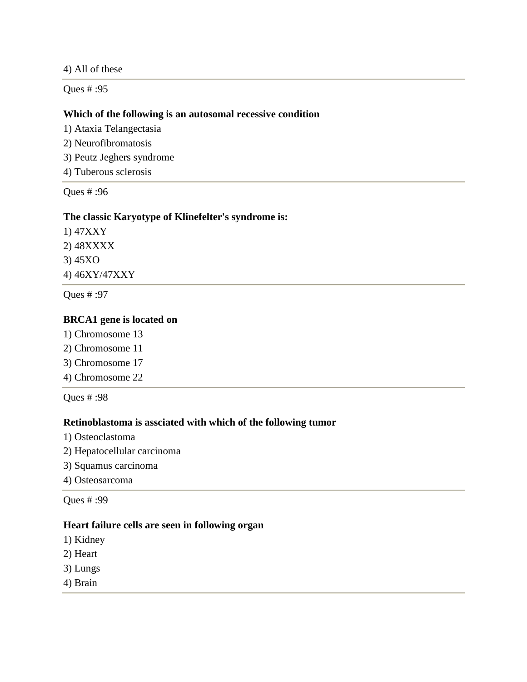4) All of these

Ques # :95

### **Which of the following is an autosomal recessive condition**

1) Ataxia Telangectasia

- 2) Neurofibromatosis
- 3) Peutz Jeghers syndrome
- 4) Tuberous sclerosis

Ques # :96

#### **The classic Karyotype of Klinefelter's syndrome is:**

1) 47XXY 2) 48XXXX 3) 45XO 4) 46XY/47XXY

Ques # :97

### **BRCA1 gene is located on**

- 1) Chromosome 13
- 2) Chromosome 11
- 3) Chromosome 17
- 4) Chromosome 22

Ques # :98

### **Retinoblastoma is assciated with which of the following tumor**

- 1) Osteoclastoma
- 2) Hepatocellular carcinoma
- 3) Squamus carcinoma
- 4) Osteosarcoma

Ques # :99

#### **Heart failure cells are seen in following organ**

- 1) Kidney
- 2) Heart
- 3) Lungs
- 4) Brain